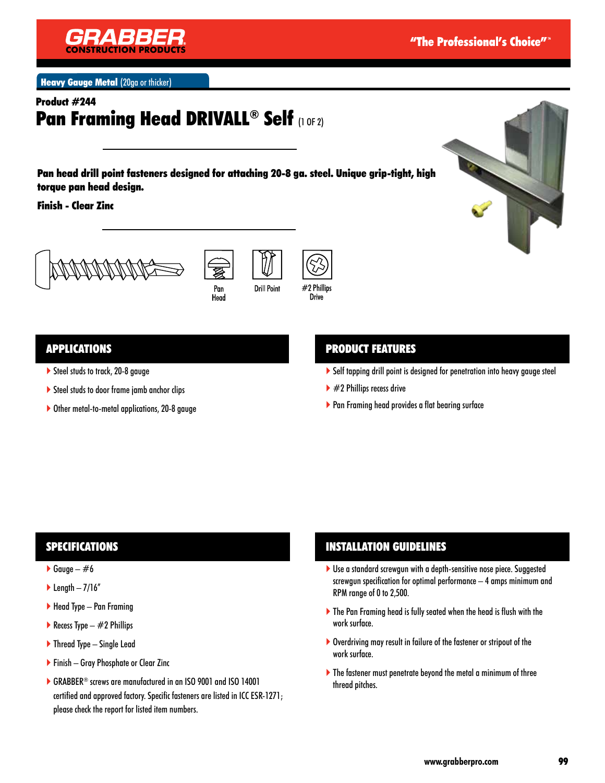

**Heavy Gauge Metal (20ga or thicker)** 

# Product #244 Pan Framing Head DRIVALL® Self (1 OF 2)

Pan head drill point fasteners designed for attaching 20-8 ga. steel. Unique grip-tight, high torque pan head design.

Finish - Clear Zinc







## APPLICATIONS

- ▶ Steel studs to track, 20-8 gauge
- Steel studs to door frame jamb anchor clips
- ▶ Other metal-to-metal applications, 20-8 gauge

#### PRODUCT FEATURES

- Self tapping drill point is designed for penetration into heavy gauge steel
- $\blacktriangleright$  #2 Phillips recess drive
- ▶ Pan Framing head provides a flat bearing surface

## SPECIFICATIONS

- Gauge  $#6$
- $\blacktriangleright$  Length  $-7/16''$
- Head Type Pan Framing
- Recess Type  $-$  #2 Phillips
- ▶ Thread Type Single Lead
- ▶ Finish Gray Phosphate or Clear Zinc
- GRABBER® screws are manufactured in an ISO 9001 and ISO 14001 certified and approved factory. Specific fasteners are listed in ICC ESR-1271; please check the report for listed item numbers.

## INSTALLATION GUIDELINES

- ▶ Use a standard screwgun with a depth-sensitive nose piece. Suggested screwgun specification for optimal performance – 4 amps minimum and RPM range of 0 to 2,500.
- The Pan Framing head is fully seated when the head is flush with the work surface.
- Overdriving may result in failure of the fastener or stripout of the work surface.
- ▶ The fastener must penetrate beyond the metal a minimum of three thread pitches.